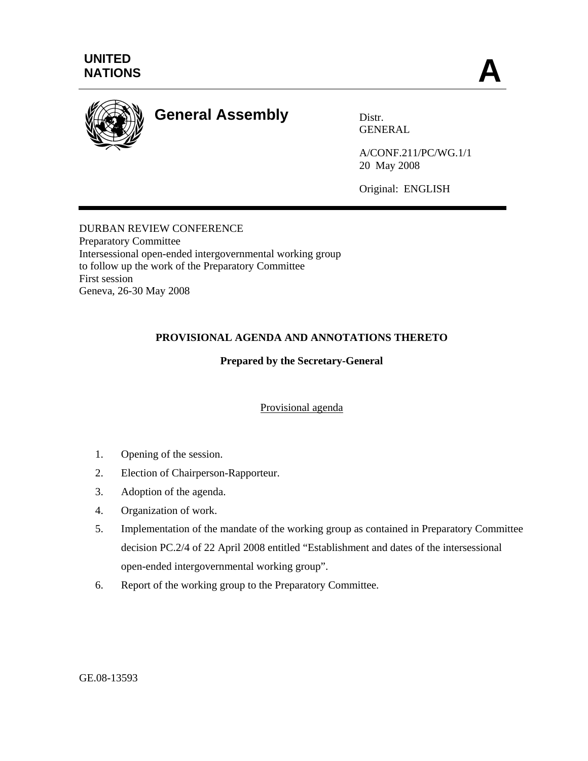

# **General Assembly** Distr.

GENERAL

A/CONF.211/PC/WG.1/1 20 May 2008

Original: ENGLISH

## DURBAN REVIEW CONFERENCE Preparatory Committee Intersessional open-ended intergovernmental working group to follow up the work of the Preparatory Committee First session Geneva, 26-30 May 2008

# **PROVISIONAL AGENDA AND ANNOTATIONS THERETO**

# **Prepared by the Secretary-General**

## Provisional agenda

- 1. Opening of the session.
- 2. Election of Chairperson-Rapporteur.
- 3. Adoption of the agenda.
- 4. Organization of work.
- 5. Implementation of the mandate of the working group as contained in Preparatory Committee decision PC.2/4 of 22 April 2008 entitled "Establishment and dates of the intersessional open-ended intergovernmental working group".
- 6. Report of the working group to the Preparatory Committee.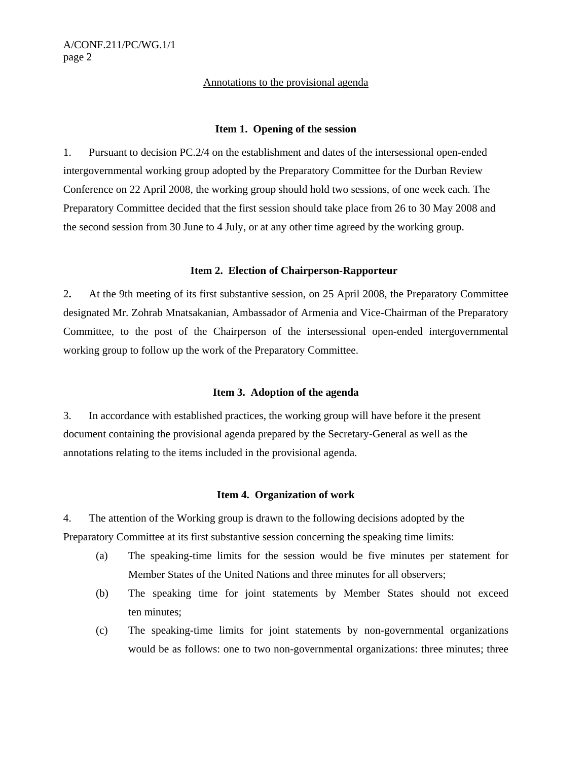#### Annotations to the provisional agenda

#### **Item 1. Opening of the session**

1. Pursuant to decision PC.2/4 on the establishment and dates of the intersessional open-ended intergovernmental working group adopted by the Preparatory Committee for the Durban Review Conference on 22 April 2008, the working group should hold two sessions, of one week each. The Preparatory Committee decided that the first session should take place from 26 to 30 May 2008 and the second session from 30 June to 4 July, or at any other time agreed by the working group.

#### **Item 2. Election of Chairperson-Rapporteur**

2**.** At the 9th meeting of its first substantive session, on 25 April 2008, the Preparatory Committee designated Mr. Zohrab Mnatsakanian, Ambassador of Armenia and Vice-Chairman of the Preparatory Committee, to the post of the Chairperson of the intersessional open-ended intergovernmental working group to follow up the work of the Preparatory Committee.

#### **Item 3. Adoption of the agenda**

3. In accordance with established practices, the working group will have before it the present document containing the provisional agenda prepared by the Secretary-General as well as the annotations relating to the items included in the provisional agenda.

#### **Item 4. Organization of work**

4. The attention of the Working group is drawn to the following decisions adopted by the Preparatory Committee at its first substantive session concerning the speaking time limits:

- (a) The speaking-time limits for the session would be five minutes per statement for Member States of the United Nations and three minutes for all observers;
- (b) The speaking time for joint statements by Member States should not exceed ten minutes;
- (c) The speaking-time limits for joint statements by non-governmental organizations would be as follows: one to two non-governmental organizations: three minutes; three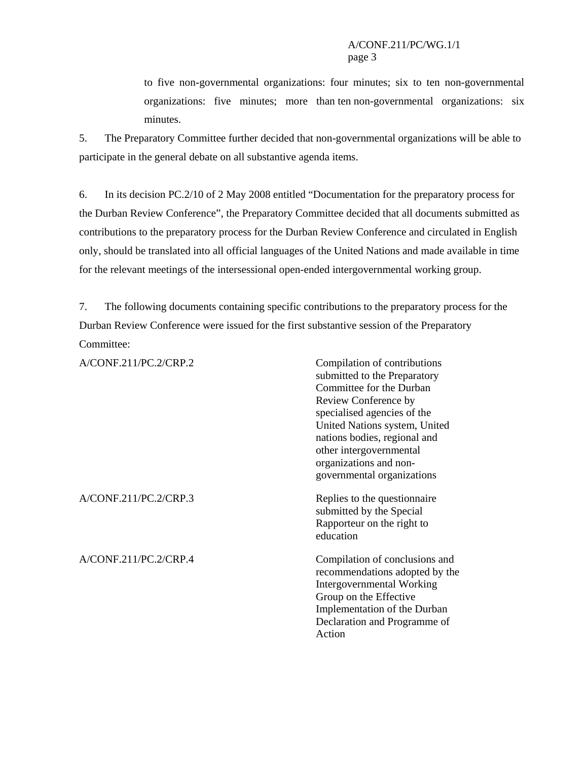to five non-governmental organizations: four minutes; six to ten non-governmental organizations: five minutes; more than ten non-governmental organizations: six minutes.

5. The Preparatory Committee further decided that non-governmental organizations will be able to participate in the general debate on all substantive agenda items.

6. In its decision PC.2/10 of 2 May 2008 entitled "Documentation for the preparatory process for the Durban Review Conference", the Preparatory Committee decided that all documents submitted as contributions to the preparatory process for the Durban Review Conference and circulated in English only, should be translated into all official languages of the United Nations and made available in time for the relevant meetings of the intersessional open-ended intergovernmental working group.

7. The following documents containing specific contributions to the preparatory process for the Durban Review Conference were issued for the first substantive session of the Preparatory Committee:

| A/CONF.211/PC.2/CRP.2 | Compilation of contributions<br>submitted to the Preparatory<br>Committee for the Durban<br>Review Conference by<br>specialised agencies of the<br>United Nations system, United<br>nations bodies, regional and<br>other intergovernmental<br>organizations and non-<br>governmental organizations |
|-----------------------|-----------------------------------------------------------------------------------------------------------------------------------------------------------------------------------------------------------------------------------------------------------------------------------------------------|
| A/CONF.211/PC.2/CRP.3 | Replies to the question aire<br>submitted by the Special<br>Rapporteur on the right to<br>education                                                                                                                                                                                                 |
| A/CONF.211/PC.2/CRP.4 | Compilation of conclusions and<br>recommendations adopted by the<br>Intergovernmental Working<br>Group on the Effective<br>Implementation of the Durban<br>Declaration and Programme of<br>Action                                                                                                   |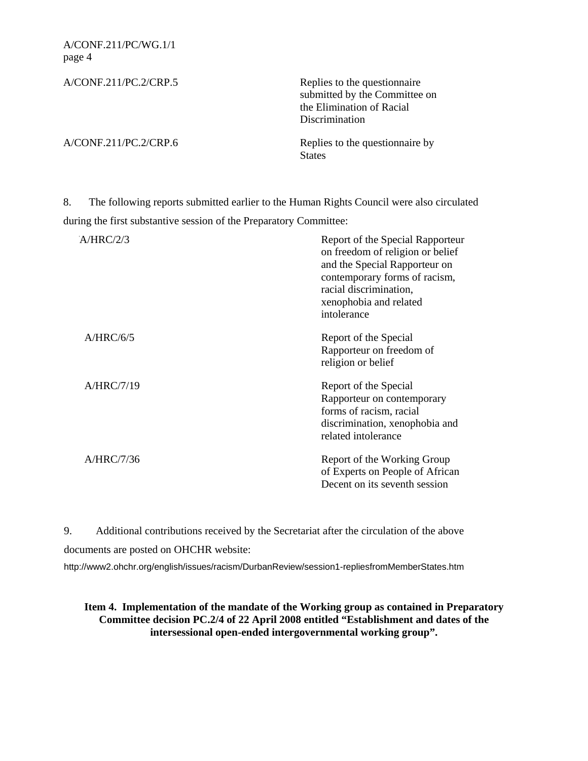| A/CONF.211/PC.2/CRP.5 | Replies to the question aire<br>submitted by the Committee on<br>the Elimination of Racial<br>Discrimination |
|-----------------------|--------------------------------------------------------------------------------------------------------------|
| A/CONF.211/PC.2/CRP.6 | Replies to the question aire by<br><b>States</b>                                                             |

8. The following reports submitted earlier to the Human Rights Council were also circulated during the first substantive session of the Preparatory Committee:

| A/HRC/2/3  | Report of the Special Rapporteur<br>on freedom of religion or belief<br>and the Special Rapporteur on<br>contemporary forms of racism,<br>racial discrimination,<br>xenophobia and related<br>intolerance |
|------------|-----------------------------------------------------------------------------------------------------------------------------------------------------------------------------------------------------------|
| A/HRC/6/5  | Report of the Special<br>Rapporteur on freedom of<br>religion or belief                                                                                                                                   |
| A/HRC/7/19 | Report of the Special<br>Rapporteur on contemporary<br>forms of racism, racial<br>discrimination, xenophobia and<br>related intolerance                                                                   |
| A/HRC/7/36 | Report of the Working Group<br>of Experts on People of African<br>Decent on its seventh session                                                                                                           |

 9. Additional contributions received by the Secretariat after the circulation of the above documents are posted on OHCHR website:

http://www2.ohchr.org/english/issues/racism/DurbanReview/session1-repliesfromMemberStates.htm

**Item 4. Implementation of the mandate of the Working group as contained in Preparatory Committee decision PC.2/4 of 22 April 2008 entitled "Establishment and dates of the intersessional open-ended intergovernmental working group".**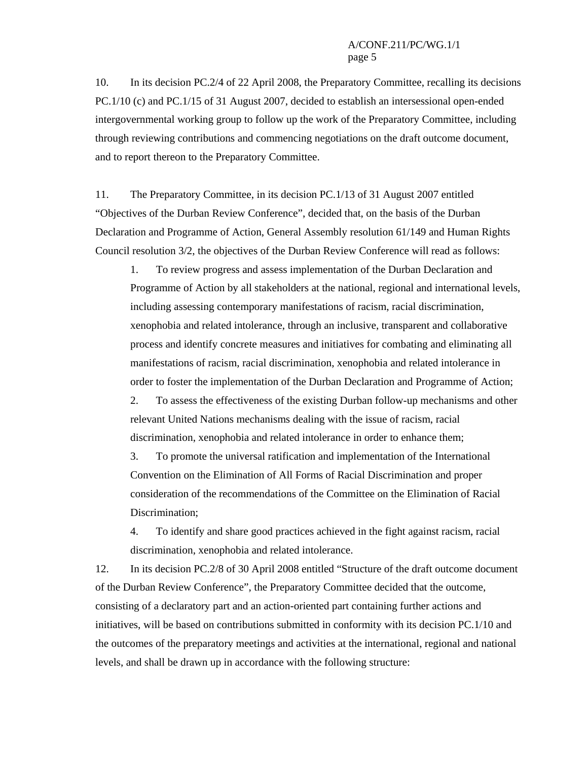10. In its decision PC.2/4 of 22 April 2008, the Preparatory Committee, recalling its decisions PC.1/10 (c) and PC.1/15 of 31 August 2007, decided to establish an intersessional open-ended intergovernmental working group to follow up the work of the Preparatory Committee, including through reviewing contributions and commencing negotiations on the draft outcome document, and to report thereon to the Preparatory Committee.

11. The Preparatory Committee, in its decision PC.1/13 of 31 August 2007 entitled "Objectives of the Durban Review Conference", decided that, on the basis of the Durban Declaration and Programme of Action, General Assembly resolution 61/149 and Human Rights Council resolution 3/2, the objectives of the Durban Review Conference will read as follows:

1. To review progress and assess implementation of the Durban Declaration and Programme of Action by all stakeholders at the national, regional and international levels, including assessing contemporary manifestations of racism, racial discrimination, xenophobia and related intolerance, through an inclusive, transparent and collaborative process and identify concrete measures and initiatives for combating and eliminating all manifestations of racism, racial discrimination, xenophobia and related intolerance in order to foster the implementation of the Durban Declaration and Programme of Action;

2. To assess the effectiveness of the existing Durban follow-up mechanisms and other relevant United Nations mechanisms dealing with the issue of racism, racial discrimination, xenophobia and related intolerance in order to enhance them;

3. To promote the universal ratification and implementation of the International Convention on the Elimination of All Forms of Racial Discrimination and proper consideration of the recommendations of the Committee on the Elimination of Racial Discrimination;

4. To identify and share good practices achieved in the fight against racism, racial discrimination, xenophobia and related intolerance.

12. In its decision PC.2/8 of 30 April 2008 entitled "Structure of the draft outcome document of the Durban Review Conference", the Preparatory Committee decided that the outcome, consisting of a declaratory part and an action-oriented part containing further actions and initiatives, will be based on contributions submitted in conformity with its decision PC.1/10 and the outcomes of the preparatory meetings and activities at the international, regional and national levels, and shall be drawn up in accordance with the following structure: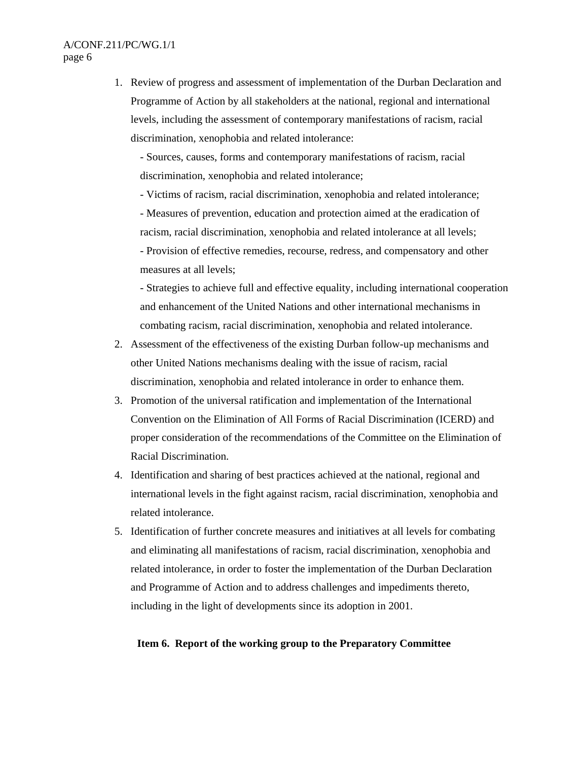1. Review of progress and assessment of implementation of the Durban Declaration and Programme of Action by all stakeholders at the national, regional and international levels, including the assessment of contemporary manifestations of racism, racial discrimination, xenophobia and related intolerance:

- Sources, causes, forms and contemporary manifestations of racism, racial discrimination, xenophobia and related intolerance;

- Victims of racism, racial discrimination, xenophobia and related intolerance;

- Measures of prevention, education and protection aimed at the eradication of racism, racial discrimination, xenophobia and related intolerance at all levels; - Provision of effective remedies, recourse, redress, and compensatory and other measures at all levels;

- Strategies to achieve full and effective equality, including international cooperation and enhancement of the United Nations and other international mechanisms in combating racism, racial discrimination, xenophobia and related intolerance.

- 2. Assessment of the effectiveness of the existing Durban follow-up mechanisms and other United Nations mechanisms dealing with the issue of racism, racial discrimination, xenophobia and related intolerance in order to enhance them.
- 3. Promotion of the universal ratification and implementation of the International Convention on the Elimination of All Forms of Racial Discrimination (ICERD) and proper consideration of the recommendations of the Committee on the Elimination of Racial Discrimination.
- 4. Identification and sharing of best practices achieved at the national, regional and international levels in the fight against racism, racial discrimination, xenophobia and related intolerance.
- 5. Identification of further concrete measures and initiatives at all levels for combating and eliminating all manifestations of racism, racial discrimination, xenophobia and related intolerance, in order to foster the implementation of the Durban Declaration and Programme of Action and to address challenges and impediments thereto, including in the light of developments since its adoption in 2001.

## **Item 6. Report of the working group to the Preparatory Committee**